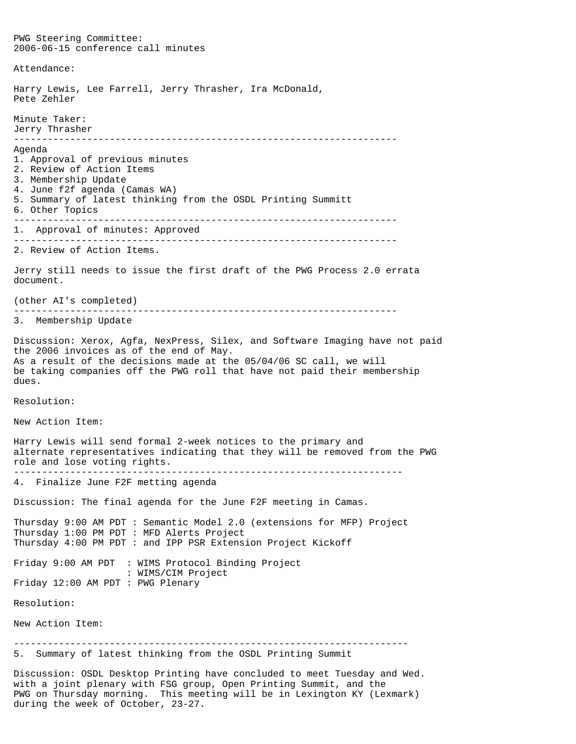PWG Steering Committee: 2006-06-15 conference call minutes Attendance: Harry Lewis, Lee Farrell, Jerry Thrasher, Ira McDonald, Pete Zehler Minute Taker: Jerry Thrasher -------------------------------------------------------------------- Agenda 1. Approval of previous minutes 2. Review of Action Items 3. Membership Update 4. June f2f agenda (Camas WA) 5. Summary of latest thinking from the OSDL Printing Summitt 6. Other Topics -------------------------------------------------------------------- 1. Approval of minutes: Approved -------------------------------------------------------------------- 2. Review of Action Items. Jerry still needs to issue the first draft of the PWG Process 2.0 errata document. (other AI's completed) -------------------------------------------------------------------- 3. Membership Update Discussion: Xerox, Agfa, NexPress, Silex, and Software Imaging have not paid the 2006 invoices as of the end of May. As a result of the decisions made at the 05/04/06 SC call, we will be taking companies off the PWG roll that have not paid their membership dues. Resolution: New Action Item: Harry Lewis will send formal 2-week notices to the primary and alternate representatives indicating that they will be removed from the PWG role and lose voting rights. --------------------------------------------------------------------- 4. Finalize June F2F metting agenda Discussion: The final agenda for the June F2F meeting in Camas. Thursday 9:00 AM PDT : Semantic Model 2.0 (extensions for MFP) Project Thursday 1:00 PM PDT : MFD Alerts Project Thursday 4:00 PM PDT : and IPP PSR Extension Project Kickoff Friday 9:00 AM PDT : WIMS Protocol Binding Project : WIMS/CIM Project Friday 12:00 AM PDT : PWG Plenary Resolution: New Action Item: ---------------------------------------------------------------------- 5. Summary of latest thinking from the OSDL Printing Summit Discussion: OSDL Desktop Printing have concluded to meet Tuesday and Wed. with a joint plenary with FSG group, Open Printing Summit, and the PWG on Thursday morning. This meeting will be in Lexington KY (Lexmark)

during the week of October, 23-27.